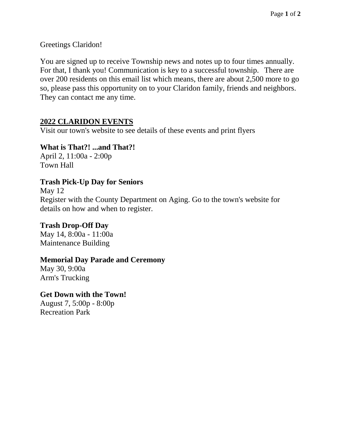Greetings Claridon!

You are signed up to receive Township news and notes up to four times annually. For that, I thank you! Communication is key to a successful township. There are over 200 residents on this email list which means, there are about 2,500 more to go so, please pass this opportunity on to your Claridon family, friends and neighbors. They can contact me any time.

## **2022 CLARIDON EVENTS**

Visit our town's website to see details of these events and print flyers

**What is That?! ...and That?!** April 2, 11:00a - 2:00p Town Hall

#### **Trash Pick-Up Day for Seniors**

May 12 Register with the County Department on Aging. Go to the town's website for details on how and when to register.

# **Trash Drop-Off Day**

May 14, 8:00a - 11:00a Maintenance Building

#### **Memorial Day Parade and Ceremony**

May 30, 9:00a Arm's Trucking

## **Get Down with the Town!**

August 7, 5:00p - 8:00p Recreation Park